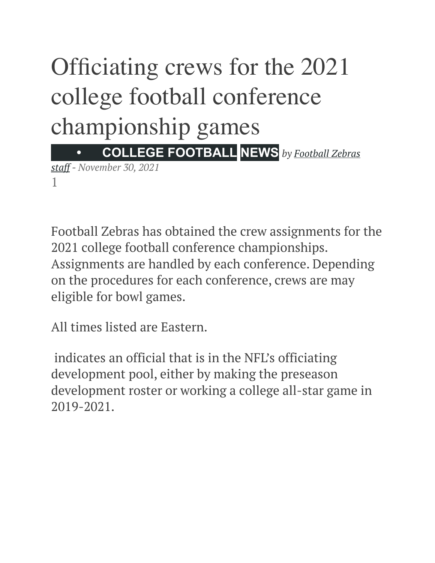# Officiating crews for the 2021 college football conference championship games  **• [COLLEGE FOOTBALL](https://www.footballzebras.com/category/college-football/) [NEWS](https://www.footballzebras.com/category/news/)** *by [Football Zebras](https://www.footballzebras.com/author/football-zebras-com-staff/)*

*[staff](https://www.footballzebras.com/author/football-zebras-com-staff/) - November 30, 2021*  1

Football Zebras has obtained the crew assignments for the 2021 college football conference championships. Assignments are handled by each conference. Depending on the procedures for each conference, crews are may eligible for bowl games.

All times listed are Eastern.

indicates an official that is in the NFL's officiating development pool, either by making the preseason development roster or working a college all-star game in 2019-2021.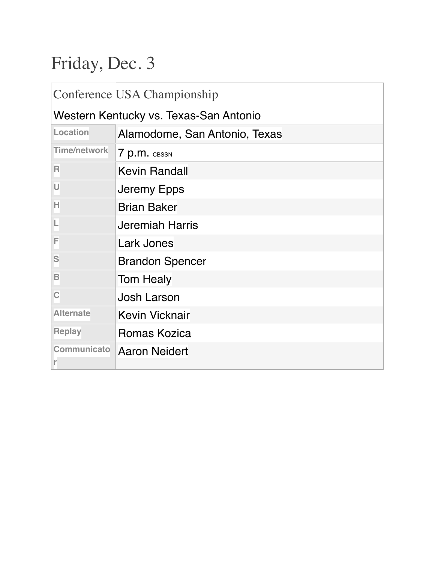# Friday, Dec. 3

| Conference USA Championship            |                               |
|----------------------------------------|-------------------------------|
| Western Kentucky vs. Texas-San Antonio |                               |
| Location                               | Alamodome, San Antonio, Texas |
| <b>Time/network</b>                    | 7 p.m. CBSSN                  |
| R                                      | <b>Kevin Randall</b>          |
| U                                      | Jeremy Epps                   |
| н                                      | <b>Brian Baker</b>            |
| L                                      | <b>Jeremiah Harris</b>        |
| F                                      | Lark Jones                    |
| S                                      | <b>Brandon Spencer</b>        |
| B                                      | <b>Tom Healy</b>              |
| C                                      | <b>Josh Larson</b>            |
| <b>Alternate</b>                       | Kevin Vicknair                |
| <b>Replay</b>                          | Romas Kozica                  |
| Communicato                            | <b>Aaron Neidert</b>          |
| r                                      |                               |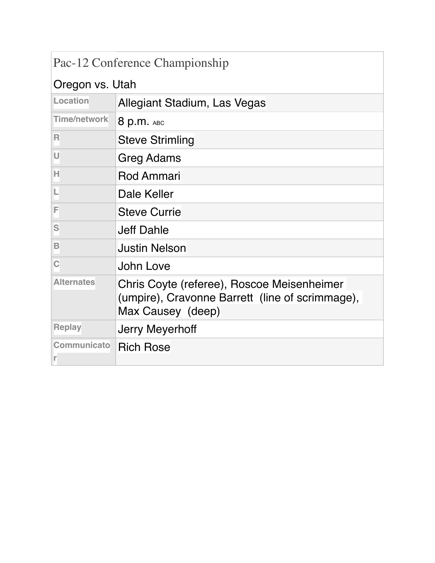| Pac-12 Conference Championship |                                                                                                                    |
|--------------------------------|--------------------------------------------------------------------------------------------------------------------|
| Oregon vs. Utah                |                                                                                                                    |
| Location                       | Allegiant Stadium, Las Vegas                                                                                       |
| Time/network                   | 8 p.m. ABC                                                                                                         |
| R                              | <b>Steve Strimling</b>                                                                                             |
| U                              | Greg Adams                                                                                                         |
| н                              | <b>Rod Ammari</b>                                                                                                  |
| L                              | Dale Keller                                                                                                        |
| F                              | <b>Steve Currie</b>                                                                                                |
| S                              | Jeff Dahle                                                                                                         |
| в                              | <b>Justin Nelson</b>                                                                                               |
| C                              | John Love                                                                                                          |
| <b>Alternates</b>              | Chris Coyte (referee), Roscoe Meisenheimer<br>(umpire), Cravonne Barrett (line of scrimmage),<br>Max Causey (deep) |
| <b>Replay</b>                  | Jerry Meyerhoff                                                                                                    |
| Communicato<br>r               | <b>Rich Rose</b>                                                                                                   |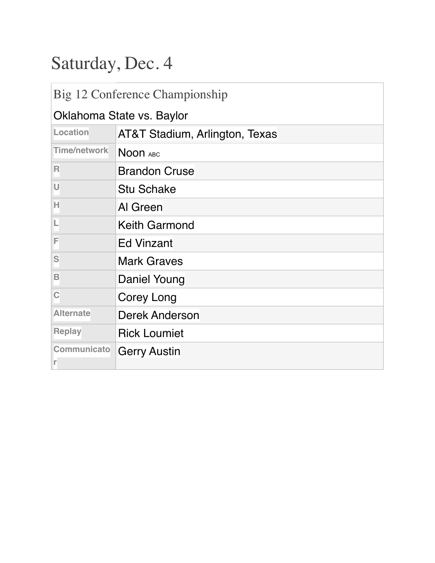# Saturday, Dec. 4

| Big 12 Conference Championship |                                |
|--------------------------------|--------------------------------|
| Oklahoma State vs. Baylor      |                                |
| Location                       | AT&T Stadium, Arlington, Texas |
| <b>Time/network</b>            | Noon ABC                       |
| R                              | <b>Brandon Cruse</b>           |
| U                              | <b>Stu Schake</b>              |
| н                              | Al Green                       |
| L                              | <b>Keith Garmond</b>           |
| F                              | <b>Ed Vinzant</b>              |
| S                              | <b>Mark Graves</b>             |
| B                              | Daniel Young                   |
| C                              | Corey Long                     |
| <b>Alternate</b>               | <b>Derek Anderson</b>          |
| <b>Replay</b>                  | <b>Rick Loumiet</b>            |
| Communicato                    | <b>Gerry Austin</b>            |
| r                              |                                |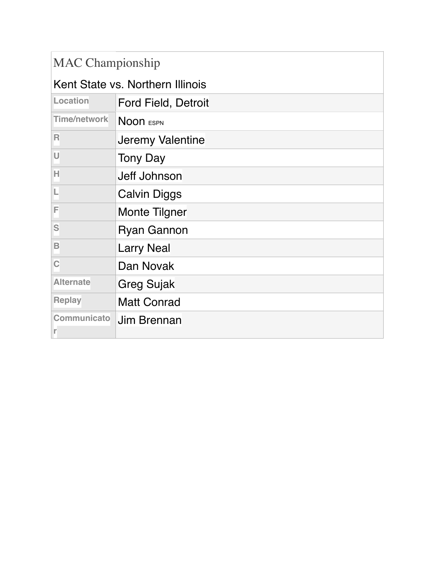| <b>MAC Championship</b>          |                            |
|----------------------------------|----------------------------|
| Kent State vs. Northern Illinois |                            |
| Location                         | <b>Ford Field, Detroit</b> |
| <b>Time/network</b>              | Noon ESPN                  |
| R                                | Jeremy Valentine           |
| U                                | <b>Tony Day</b>            |
| Н                                | <b>Jeff Johnson</b>        |
|                                  | <b>Calvin Diggs</b>        |
| F                                | Monte Tilgner              |
| S                                | <b>Ryan Gannon</b>         |
| B                                | <b>Larry Neal</b>          |
| Ċ                                | Dan Novak                  |
| <b>Alternate</b>                 | Greg Sujak                 |
| <b>Replay</b>                    | <b>Matt Conrad</b>         |
| Communicato<br>r                 | <b>Jim Brennan</b>         |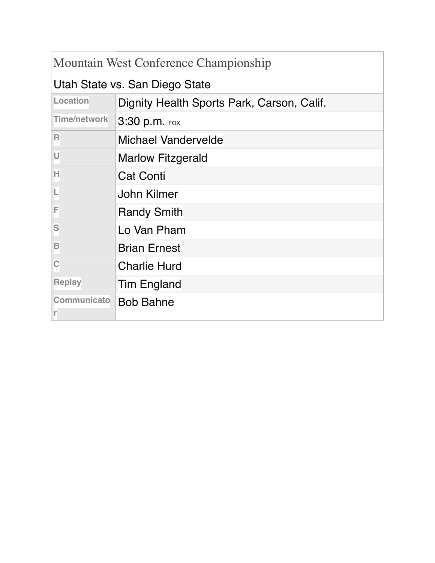| Mountain West Conference Championship |                                            |
|---------------------------------------|--------------------------------------------|
| Utah State vs. San Diego State        |                                            |
| Location                              | Dignity Health Sports Park, Carson, Calif. |
| Time/network                          | $3:30$ p.m. Fox                            |
| R                                     | <b>Michael Vandervelde</b>                 |
| U                                     | <b>Marlow Fitzgerald</b>                   |
| н                                     | <b>Cat Conti</b>                           |
| L                                     | John Kilmer                                |
| F                                     | <b>Randy Smith</b>                         |
| S                                     | Lo Van Pham                                |
| B                                     | <b>Brian Ernest</b>                        |
| C                                     | <b>Charlie Hurd</b>                        |
| <b>Replay</b>                         | <b>Tim England</b>                         |
| Communicato<br>r                      | <b>Bob Bahne</b>                           |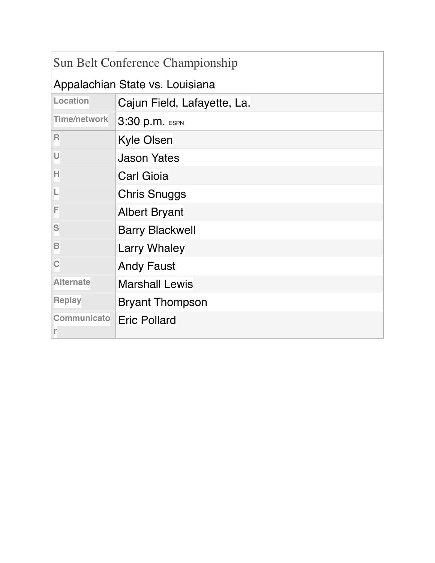| Sun Belt Conference Championship |                             |
|----------------------------------|-----------------------------|
| Appalachian State vs. Louisiana  |                             |
| Location                         | Cajun Field, Lafayette, La. |
| Time/network                     | 3:30 p.m. ESPN              |
| R                                | Kyle Olsen                  |
| U                                | <b>Jason Yates</b>          |
| Н                                | <b>Carl Gioia</b>           |
| L                                | <b>Chris Snuggs</b>         |
| F                                | <b>Albert Bryant</b>        |
| S                                | <b>Barry Blackwell</b>      |
| B                                | <b>Larry Whaley</b>         |
| Ċ                                | <b>Andy Faust</b>           |
| <b>Alternate</b>                 | <b>Marshall Lewis</b>       |
| <b>Replay</b>                    | <b>Bryant Thompson</b>      |
| Communicato<br>r                 | <b>Eric Pollard</b>         |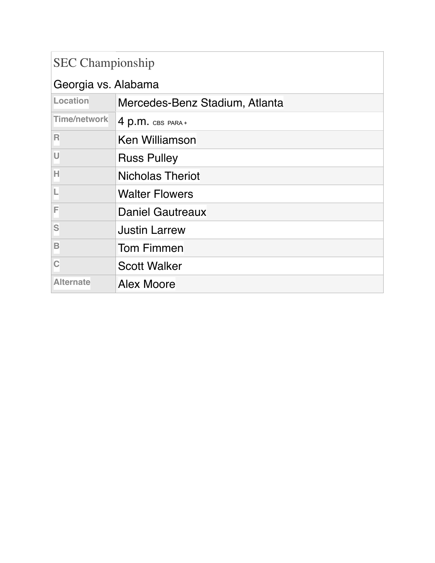### SEC Championship

| Georgia vs. Alabama     |                                |
|-------------------------|--------------------------------|
| Location                | Mercedes-Benz Stadium, Atlanta |
| <b>Time/network</b>     | $4 p.m.$ CBS PARA+             |
| $\overline{\mathsf{R}}$ | <b>Ken Williamson</b>          |
| U                       | <b>Russ Pulley</b>             |
| н                       | <b>Nicholas Theriot</b>        |
| L                       | <b>Walter Flowers</b>          |
| F                       | <b>Daniel Gautreaux</b>        |
| S                       | <b>Justin Larrew</b>           |
| B                       | <b>Tom Fimmen</b>              |
|                         | <b>Scott Walker</b>            |
| <b>Alternate</b>        | <b>Alex Moore</b>              |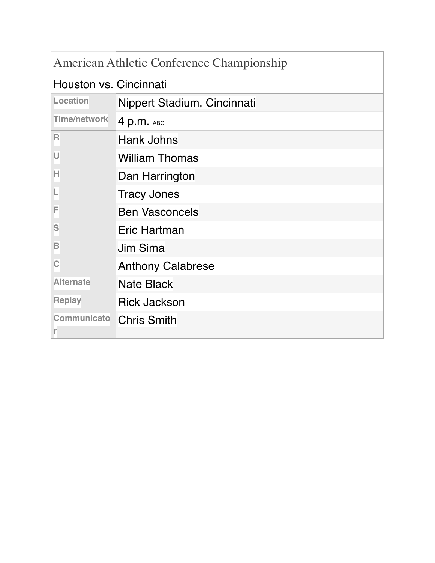| American Athletic Conference Championship |                             |
|-------------------------------------------|-----------------------------|
| Houston vs. Cincinnati                    |                             |
| Location                                  | Nippert Stadium, Cincinnati |
| <b>Time/network</b>                       | 4 p.m. $ABC$                |
| R                                         | <b>Hank Johns</b>           |
| U                                         | <b>William Thomas</b>       |
| н                                         | Dan Harrington              |
|                                           | <b>Tracy Jones</b>          |
| F                                         | <b>Ben Vasconcels</b>       |
| S                                         | Eric Hartman                |
| В                                         | <b>Jim Sima</b>             |
| Ć                                         | <b>Anthony Calabrese</b>    |
| <b>Alternate</b>                          | <b>Nate Black</b>           |
| <b>Replay</b>                             | <b>Rick Jackson</b>         |
| Communicato<br>r                          | <b>Chris Smith</b>          |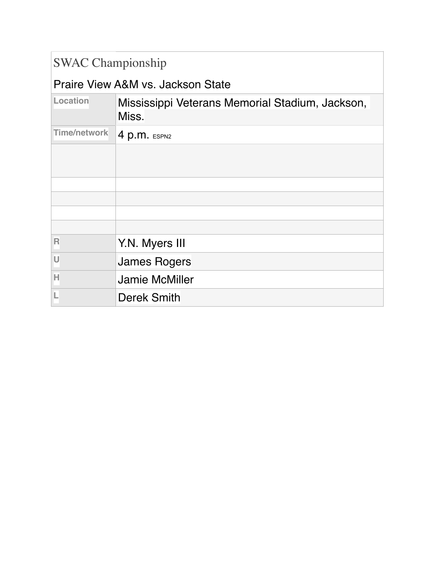### SWAC Championship

#### Praire View A&M vs. Jackson State

| Location            | Mississippi Veterans Memorial Stadium, Jackson,<br>Miss. |
|---------------------|----------------------------------------------------------|
| <b>Time/network</b> | 4 p.m. ESPN2                                             |
|                     |                                                          |
|                     |                                                          |
|                     |                                                          |
|                     |                                                          |
|                     |                                                          |
| R                   | Y.N. Myers III                                           |
| U                   | <b>James Rogers</b>                                      |
| Н                   | <b>Jamie McMiller</b>                                    |
|                     | <b>Derek Smith</b>                                       |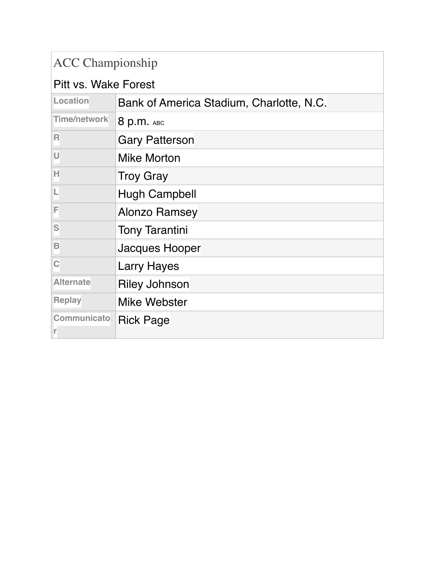### ACC Championship

#### Pitt vs. Wake Forest

| Location                | Bank of America Stadium, Charlotte, N.C. |
|-------------------------|------------------------------------------|
| <b>Time/network</b>     | 8 p.m. ABC                               |
| $\overline{\mathsf{R}}$ | <b>Gary Patterson</b>                    |
| U                       | <b>Mike Morton</b>                       |
| Н                       | <b>Troy Gray</b>                         |
|                         | <b>Hugh Campbell</b>                     |
| F                       | <b>Alonzo Ramsey</b>                     |
| S                       | <b>Tony Tarantini</b>                    |
| B                       | Jacques Hooper                           |
| $\mathbf C$             | <b>Larry Hayes</b>                       |
| <b>Alternate</b>        | <b>Riley Johnson</b>                     |
| <b>Replay</b>           | Mike Webster                             |
| Communicato             | <b>Rick Page</b>                         |
|                         |                                          |